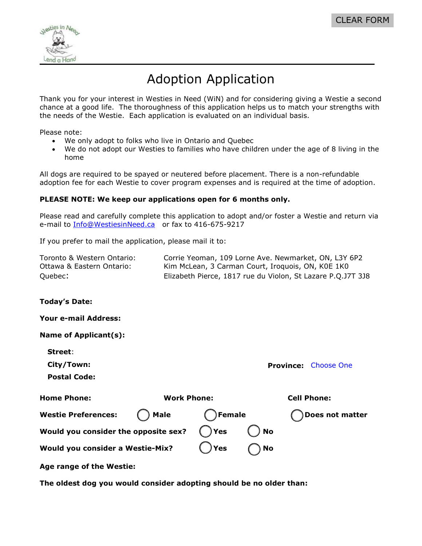

## Adoption Application

Thank you for your interest in Westies in Need (WiN) and for considering giving a Westie a second chance at a good life. The thoroughness of this application helps us to match your strengths with the needs of the Westie. Each application is evaluated on an individual basis.

Please note:

- We only adopt to folks who live in Ontario and Quebec
- We do not adopt our Westies to families who have children under the age of 8 living in the home

All dogs are required to be spayed or neutered before placement. There is a non-refundable adoption fee for each Westie to cover program expenses and is required at the time of adoption.

#### **PLEASE NOTE: We keep our applications open for 6 months only.**

Please read and carefully complete this application to adopt and/or foster a Westie and return via e-mail to [Info@WestiesinNeed.ca](mailto:Info@WestiesinNeed.ca) or fax to 416-675-9217

If you prefer to mail the application, please mail it to:

| Toronto & Western Ontario: | Corrie Yeoman, 109 Lorne Ave. Newmarket, ON, L3Y 6P2        |
|----------------------------|-------------------------------------------------------------|
| Ottawa & Eastern Ontario:  | Kim McLean, 3 Carman Court, Iroquois, ON, KOE 1KO           |
| Quebec:                    | Elizabeth Pierce, 1817 rue du Violon, St Lazare P.Q.J7T 3J8 |

**Today's Date:**

**Your e-mail Address:**

| Name of Applicant(s): |  |  |  |  |  |
|-----------------------|--|--|--|--|--|
|-----------------------|--|--|--|--|--|

**Street**:

**City/Town:**

**Postal Code:** 

| <b>Home Phone:</b>                   | <b>Work Phone:</b> |          | <b>Cell Phone:</b> |                 |
|--------------------------------------|--------------------|----------|--------------------|-----------------|
| Westie Preferences: ( ) Male         |                    | Female   |                    | Does not matter |
| Would you consider the opposite sex? |                    | $()$ Yes | <b>No</b>          |                 |
| Would you consider a Westie-Mix?     |                    | ( )Yes   | ) No               |                 |

**Province:** Choose One

**Age range of the Westie:**

**The oldest dog you would consider adopting should be no older than:**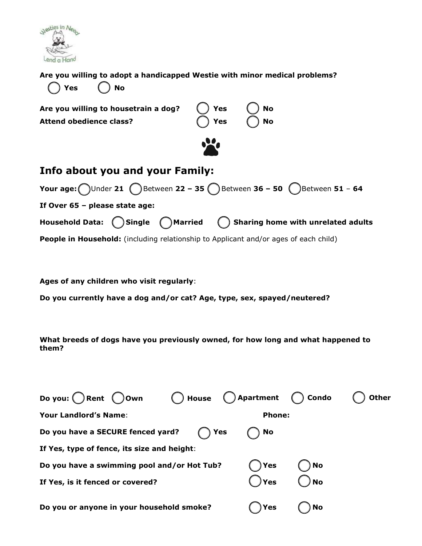

#### **Are you willing to adopt a handicapped Westie with minor medical problems?**

| <b>Info about you and your Family:</b>                                 |                                         |                        |
|------------------------------------------------------------------------|-----------------------------------------|------------------------|
|                                                                        | $\mathbf{v}$                            |                        |
| Are you willing to housetrain a dog?<br><b>Attend obedience class?</b> | $()$ Yes $()$<br>$\bigcap$ Yes $\qquad$ | <b>No</b><br><b>No</b> |
| ( )Yes  ( )No                                                          |                                         |                        |



**Ages of any children who visit regularly**:

**Do you currently have a dog and/or cat? Age, type, sex, spayed/neutered?**

**What breeds of dogs have you previously owned, for how long and what happened to them?**

| Do you: Rent Oown                           | $\bigcap$ House $\bigcap$ Apartment $\bigcap$ Condo |               |      | <b>Other</b> |
|---------------------------------------------|-----------------------------------------------------|---------------|------|--------------|
| <b>Your Landlord's Name:</b>                |                                                     | <b>Phone:</b> |      |              |
| Do you have a SECURE fenced yard?           | <b>Yes</b>                                          | No            |      |              |
| If Yes, type of fence, its size and height: |                                                     |               |      |              |
| Do you have a swimming pool and/or Hot Tub? |                                                     | ) Yes         | ) No |              |
| If Yes, is it fenced or covered?            |                                                     | ) Yes         | ) No |              |
| Do you or anyone in your household smoke?   |                                                     | Yes (         | No   |              |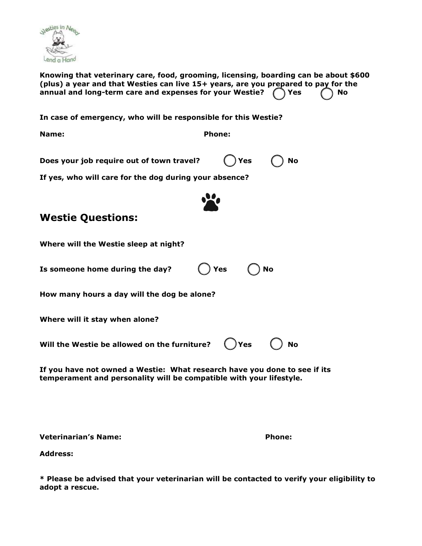

**Knowing that veterinary care, food, grooming, licensing, boarding can be about \$600 (plus) a year and that Westies can live 15+ years, are you prepared to pay for the annual and long-term care and expenses for your Westie? Yes No**

**In case of emergency, who will be responsible for this Westie?**

**Name: Phone:** 

**Does your job require out of town travel?** ( ) Yes ( ) No

**If yes, who will care for the dog during your absence?** 



### **Westie Questions:**

| Where will the Westie sleep at night?                                                                                                            |
|--------------------------------------------------------------------------------------------------------------------------------------------------|
| $\bigcap$ Yes $\bigcap$<br><b>No</b><br>Is someone home during the day?                                                                          |
| How many hours a day will the dog be alone?                                                                                                      |
| Where will it stay when alone?                                                                                                                   |
| Will the Westie be allowed on the furniture? $\bigcap$ Yes $\bigcap$ No                                                                          |
| If you have not owned a Westie: What research have you done to see if its<br>temperament and personality will be compatible with your lifestyle. |

**Veterinarian's Name: Phone:** 

**Address:** 

**\* Please be advised that your veterinarian will be contacted to verify your eligibility to adopt a rescue.**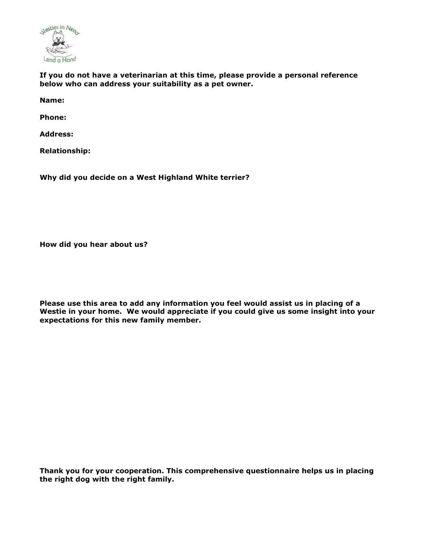

**If you do not have a veterinarian at this time, please provide a personal reference below who can address your suitability as a pet owner.**

**Name:** 

**Phone:**

**Address:** 

**Relationship:** 

**Why did you decide on a West Highland White terrier?**

**How did you hear about us?**

**Please use this area to add any information you feel would assist us in placing of a Westie in your home. We would appreciate if you could give us some insight into your expectations for this new family member.**

**Thank you for your cooperation. This comprehensive questionnaire helps us in placing the right dog with the right family.**